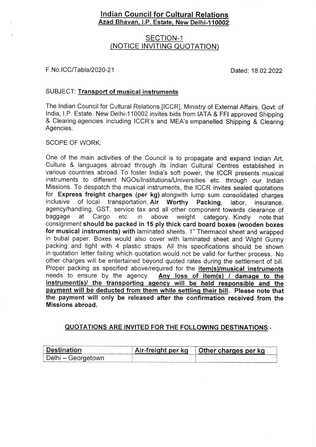# lndian Council for Cultura! Relations Azad Bhavan, I.P. Estate, New Delhi-110002.

## SECTION-1 (NOTICE INVITING QUOTATION)

#### F. No. ICC/Tabla / 2020-21 Dated: 18.02.2022

#### SUBJECT: Transport of musical instruments

The lndian Council for Cultural Relations ICCR], Ministry of External Affairs, Govt. of lndia, l.P. Estate, New Delhi-110002 invites bids from |ATA & FFt approved Shipping & Clearing agencies including ICCR's and MEA's empanelled Shipping & Clearing Agencies.

#### SCOPE OF WORK:

One of the main activities of the Council is to propagate and expand lndian Art, Culture & languages abroad through its lndian Cultural Centres established in various countries abroad. To foster lndia's soft power, the ICCR presents musical instruments to different NGOs/lnstitutions/Universities etc. through our lndian Missions. To despatch the musical instruments, the ICCR invites sealed quotations for Express freight charges (per kg) alongwith lump sum consolidated charges<br>inclusive of local transportation Air Worthy Packing Jabor, insurance of local transportation, Air Worthy Packing, labor, insurance, agency/handling, GST, service tax and all other component towards clearance of baggage at Cargo etc. in above weight category. Kindly note that consignment should be packed in 15 ply thick card board boxes (wooden boxes for musical instruments) with laminated sheets, 1" Thermacol sheet and wrapped in bubal paper. Boxes would also cover with laminated sheet and Wight Gunny packing and tight with 4 plastic straps. All this specifications should be shown in quotation letter failing which quotation would not be valid for further process. No other charges will be entertained beyond quoted rates during the settlement of bill. Proper packing as specified above/required for the item(s)/musical instruments needs to ensure by the agency. Any loss of item(s) / damage to the instrument(s)/ the transporting agency will be held responsible and the pavment will be deducted from them while settlinq their bill. Please note that the payment will only be released after the confirmation received from the Missions abroad.

### QUOTATIONS ARE INVITED FOR THE FOLLOWING DESTINATIONS:-

| <b>Destination</b> | Air-freight per kg | Other charges per kg |
|--------------------|--------------------|----------------------|
| Delhi – Georgetown |                    |                      |